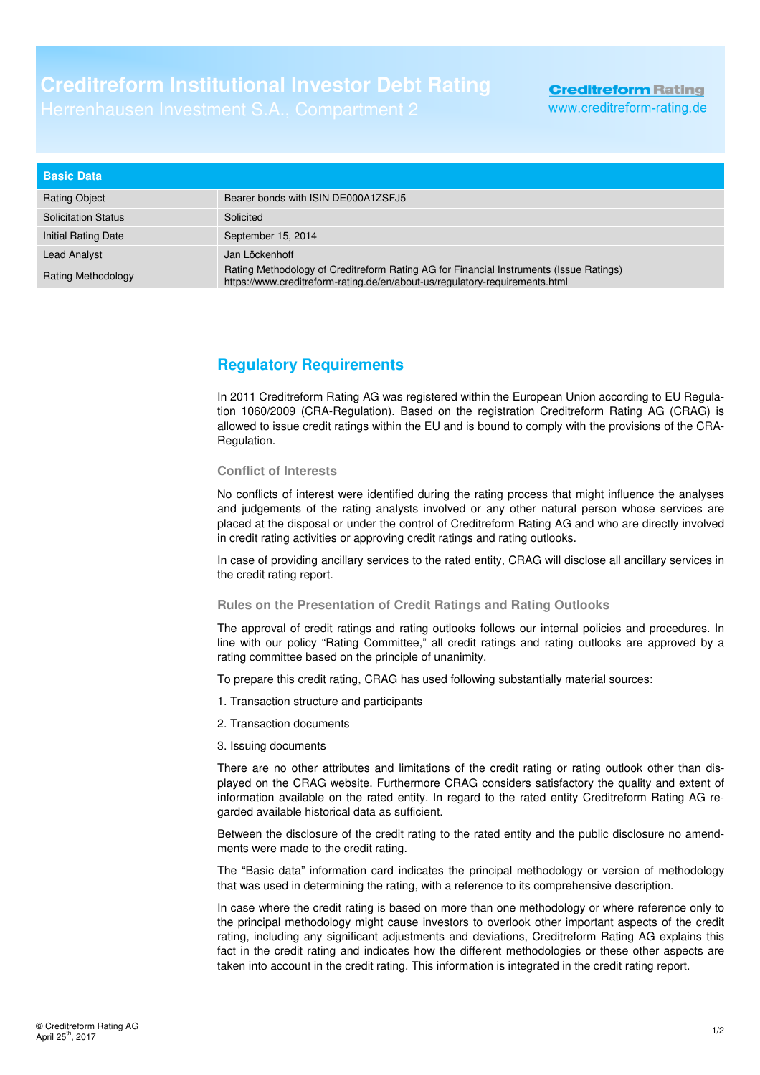# **Creditreform Institutional Investor Debt Rating**

## **Creditreform Rating** www.creditreform-rating.de

| <b>Basic Data</b>          |                                                                                                                                                                       |
|----------------------------|-----------------------------------------------------------------------------------------------------------------------------------------------------------------------|
| <b>Rating Object</b>       | Bearer bonds with ISIN DE000A1ZSFJ5                                                                                                                                   |
| <b>Solicitation Status</b> | Solicited                                                                                                                                                             |
| Initial Rating Date        | September 15, 2014                                                                                                                                                    |
| <b>Lead Analyst</b>        | Jan Löckenhoff                                                                                                                                                        |
| <b>Rating Methodology</b>  | Rating Methodology of Creditreform Rating AG for Financial Instruments (Issue Ratings)<br>https://www.creditreform-rating.de/en/about-us/regulatory-requirements.html |

## **Regulatory Requirements**

In 2011 Creditreform Rating AG was registered within the European Union according to EU Regulation 1060/2009 (CRA-Regulation). Based on the registration Creditreform Rating AG (CRAG) is allowed to issue credit ratings within the EU and is bound to comply with the provisions of the CRA-Regulation.

#### **Conflict of Interests**

No conflicts of interest were identified during the rating process that might influence the analyses and judgements of the rating analysts involved or any other natural person whose services are placed at the disposal or under the control of Creditreform Rating AG and who are directly involved in credit rating activities or approving credit ratings and rating outlooks.

In case of providing ancillary services to the rated entity, CRAG will disclose all ancillary services in the credit rating report.

### **Rules on the Presentation of Credit Ratings and Rating Outlooks**

The approval of credit ratings and rating outlooks follows our internal policies and procedures. In line with our policy "Rating Committee," all credit ratings and rating outlooks are approved by a rating committee based on the principle of unanimity.

To prepare this credit rating, CRAG has used following substantially material sources:

- 1. Transaction structure and participants
- 2. Transaction documents
- 3. Issuing documents

There are no other attributes and limitations of the credit rating or rating outlook other than displayed on the CRAG website. Furthermore CRAG considers satisfactory the quality and extent of information available on the rated entity. In regard to the rated entity Creditreform Rating AG regarded available historical data as sufficient.

Between the disclosure of the credit rating to the rated entity and the public disclosure no amendments were made to the credit rating.

The "Basic data" information card indicates the principal methodology or version of methodology that was used in determining the rating, with a reference to its comprehensive description.

In case where the credit rating is based on more than one methodology or where reference only to the principal methodology might cause investors to overlook other important aspects of the credit rating, including any significant adjustments and deviations, Creditreform Rating AG explains this fact in the credit rating and indicates how the different methodologies or these other aspects are taken into account in the credit rating. This information is integrated in the credit rating report.